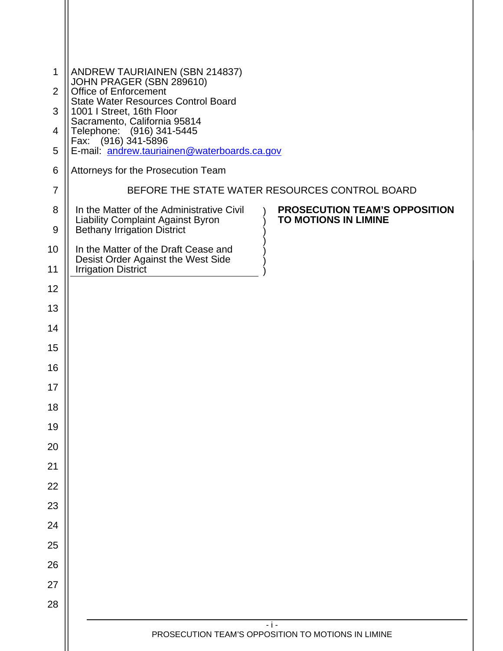| $\mathbf{1}$   | ANDREW TAURIAINEN (SBN 214837)<br>JOHN PRAGER (SBN 289610)                                             |
|----------------|--------------------------------------------------------------------------------------------------------|
| 2              | Office of Enforcement<br><b>State Water Resources Control Board</b>                                    |
| 3              | 1001 I Street, 16th Floor                                                                              |
| 4              | Sacramento, California 95814<br>Telephone: (916) 341-5445<br>Fax: (916) 341-5896                       |
| 5              | E-mail: andrew.tauriainen@waterboards.ca.gov                                                           |
| 6              | Attorneys for the Prosecution Team                                                                     |
| $\overline{7}$ | BEFORE THE STATE WATER RESOURCES CONTROL BOARD                                                         |
| 8              | In the Matter of the Administrative Civil<br><b>PROSECUTION TEAM'S OPPOSITION</b>                      |
| 9              | Liability Complaint Against Byron<br><b>TO MOTIONS IN LIMINE</b><br><b>Bethany Irrigation District</b> |
| 10             | In the Matter of the Draft Cease and                                                                   |
| 11             | Desist Order Against the West Side<br><b>Irrigation District</b>                                       |
| 12             |                                                                                                        |
| 13             |                                                                                                        |
| 14             |                                                                                                        |
| 15             |                                                                                                        |
| 16             |                                                                                                        |
| 17             |                                                                                                        |
| 18             |                                                                                                        |
| 19             |                                                                                                        |
| 20             |                                                                                                        |
| 21             |                                                                                                        |
| 22             |                                                                                                        |
| 23             |                                                                                                        |
| 24             |                                                                                                        |
| 25             |                                                                                                        |
| 26             |                                                                                                        |
| 27             |                                                                                                        |
| 28             |                                                                                                        |
|                | $-1-$<br>PROSECUTION TEAM'S OPPOSITION TO MOTIONS IN LIMINE                                            |
|                |                                                                                                        |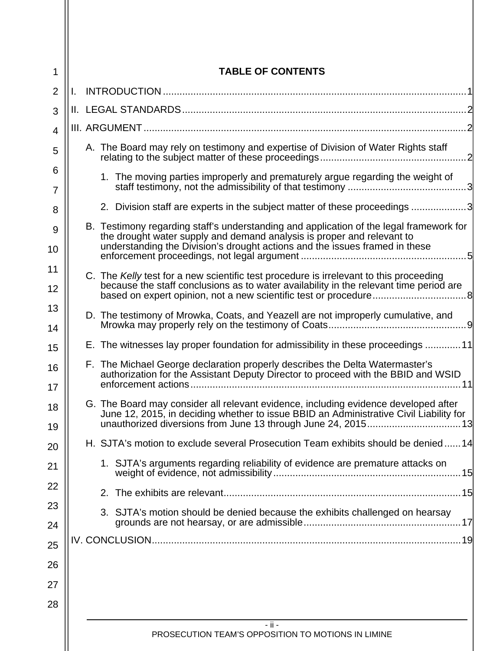| 1              | <b>TABLE OF CONTENTS</b>                                                                                                                                                                                                                         |
|----------------|--------------------------------------------------------------------------------------------------------------------------------------------------------------------------------------------------------------------------------------------------|
| $\overline{2}$ |                                                                                                                                                                                                                                                  |
| 3              |                                                                                                                                                                                                                                                  |
| $\overline{4}$ |                                                                                                                                                                                                                                                  |
| 5              | A. The Board may rely on testimony and expertise of Division of Water Rights staff                                                                                                                                                               |
| 6<br>7         | 1. The moving parties improperly and prematurely argue regarding the weight of                                                                                                                                                                   |
| 8              | 2. Division staff are experts in the subject matter of these proceedings 3                                                                                                                                                                       |
| 9<br>10        | B. Testimony regarding staff's understanding and application of the legal framework for<br>the drought water supply and demand analysis is proper and relevant to<br>understanding the Division's drought actions and the issues framed in these |
| 11             |                                                                                                                                                                                                                                                  |
| 12             | C. The Kelly test for a new scientific test procedure is irrelevant to this proceeding<br>because the staff conclusions as to water availability in the relevant time period are                                                                 |
| 13<br>14       | D. The testimony of Mrowka, Coats, and Yeazell are not improperly cumulative, and                                                                                                                                                                |
| 15             | E. The witnesses lay proper foundation for admissibility in these proceedings 11                                                                                                                                                                 |
| 16<br>17       | F. The Michael George declaration properly describes the Delta Watermaster's<br>authorization for the Assistant Deputy Director to proceed with the BBID and WSID<br>enforcement actions                                                         |
| 18<br>19       | G. The Board may consider all relevant evidence, including evidence developed after<br>June 12, 2015, in deciding whether to issue BBID an Administrative Civil Liability for                                                                    |
| 20             | H. SJTA's motion to exclude several Prosecution Team exhibits should be denied14                                                                                                                                                                 |
| 21             | 1. SJTA's arguments regarding reliability of evidence are premature attacks on                                                                                                                                                                   |
| 22             |                                                                                                                                                                                                                                                  |
| 23             | 3. SJTA's motion should be denied because the exhibits challenged on hearsay                                                                                                                                                                     |
| 24             |                                                                                                                                                                                                                                                  |
| 25             |                                                                                                                                                                                                                                                  |
| 26             |                                                                                                                                                                                                                                                  |
| 27             |                                                                                                                                                                                                                                                  |
| 28             |                                                                                                                                                                                                                                                  |
|                | $-$ ii $-$<br>PROSECUTION TEAM'S OPPOSITION TO MOTIONS IN LIMINE                                                                                                                                                                                 |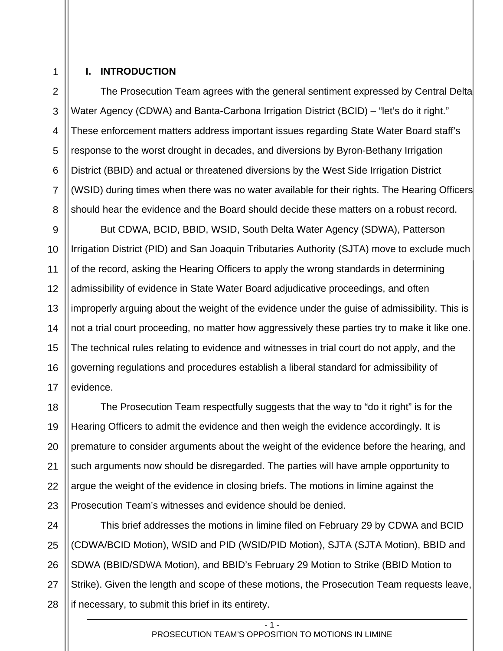# 1 2

3

4

5

6

7

8

#### **I. INTRODUCTION**

The Prosecution Team agrees with the general sentiment expressed by Central Delta Water Agency (CDWA) and Banta-Carbona Irrigation District (BCID) – "let's do it right." These enforcement matters address important issues regarding State Water Board staff's response to the worst drought in decades, and diversions by Byron-Bethany Irrigation District (BBID) and actual or threatened diversions by the West Side Irrigation District (WSID) during times when there was no water available for their rights. The Hearing Officers should hear the evidence and the Board should decide these matters on a robust record.

9 10 11 12 13 14 15 16 17 But CDWA, BCID, BBID, WSID, South Delta Water Agency (SDWA), Patterson Irrigation District (PID) and San Joaquin Tributaries Authority (SJTA) move to exclude much of the record, asking the Hearing Officers to apply the wrong standards in determining admissibility of evidence in State Water Board adjudicative proceedings, and often improperly arguing about the weight of the evidence under the guise of admissibility. This is not a trial court proceeding, no matter how aggressively these parties try to make it like one. The technical rules relating to evidence and witnesses in trial court do not apply, and the governing regulations and procedures establish a liberal standard for admissibility of evidence.

18 19 20 21 22 23 The Prosecution Team respectfully suggests that the way to "do it right" is for the Hearing Officers to admit the evidence and then weigh the evidence accordingly. It is premature to consider arguments about the weight of the evidence before the hearing, and such arguments now should be disregarded. The parties will have ample opportunity to argue the weight of the evidence in closing briefs. The motions in limine against the Prosecution Team's witnesses and evidence should be denied.

24 25 26 28 This brief addresses the motions in limine filed on February 29 by CDWA and BCID (CDWA/BCID Motion), WSID and PID (WSID/PID Motion), SJTA (SJTA Motion), BBID and SDWA (BBID/SDWA Motion), and BBID's February 29 Motion to Strike (BBID Motion to Strike). Given the length and scope of these motions, the Prosecution Team requests leave, if necessary, to submit this brief in its entirety.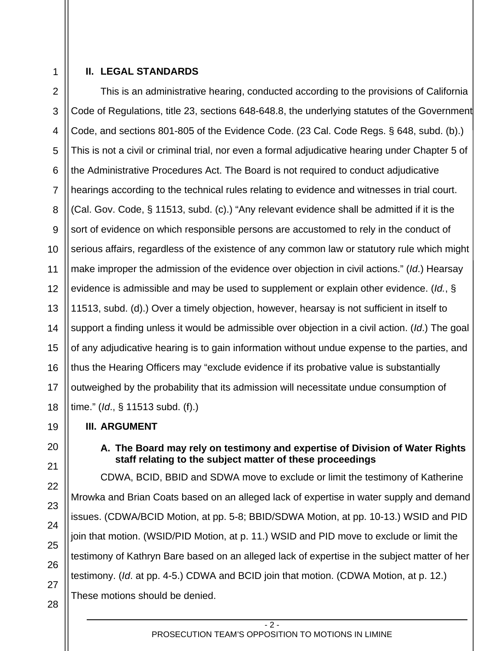1

# **II. LEGAL STANDARDS**

2 3 4 5 6 7 This is an administrative hearing, conducted according to the provisions of California Code of Regulations, title 23, sections 648-648.8, the underlying statutes of the Government Code, and sections 801-805 of the Evidence Code. (23 Cal. Code Regs. § 648, subd. (b).) This is not a civil or criminal trial, nor even a formal adjudicative hearing under Chapter 5 of the Administrative Procedures Act. The Board is not required to conduct adjudicative hearings according to the technical rules relating to evidence and witnesses in trial court. (Cal. Gov. Code, § 11513, subd. (c).) "Any relevant evidence shall be admitted if it is the sort of evidence on which responsible persons are accustomed to rely in the conduct of serious affairs, regardless of the existence of any common law or statutory rule which might make improper the admission of the evidence over objection in civil actions." (*Id*.) Hearsay evidence is admissible and may be used to supplement or explain other evidence. (*Id.*, § 11513, subd. (d).) Over a timely objection, however, hearsay is not sufficient in itself to support a finding unless it would be admissible over objection in a civil action. (*Id*.) The goal of any adjudicative hearing is to gain information without undue expense to the parties, and thus the Hearing Officers may "exclude evidence if its probative value is substantially outweighed by the probability that its admission will necessitate undue consumption of time." (*Id*., § 11513 subd. (f).)

## **III. ARGUMENT**

# **A. The Board may rely on testimony and expertise of Division of Water Rights staff relating to the subject matter of these proceedings**

CDWA, BCID, BBID and SDWA move to exclude or limit the testimony of Katherine Mrowka and Brian Coats based on an alleged lack of expertise in water supply and demand issues. (CDWA/BCID Motion, at pp. 5-8; BBID/SDWA Motion, at pp. 10-13.) WSID and PID join that motion. (WSID/PID Motion, at p. 11.) WSID and PID move to exclude or limit the testimony of Kathryn Bare based on an alleged lack of expertise in the subject matter of her testimony. (*Id*. at pp. 4-5.) CDWA and BCID join that motion. (CDWA Motion, at p. 12.) These motions should be denied.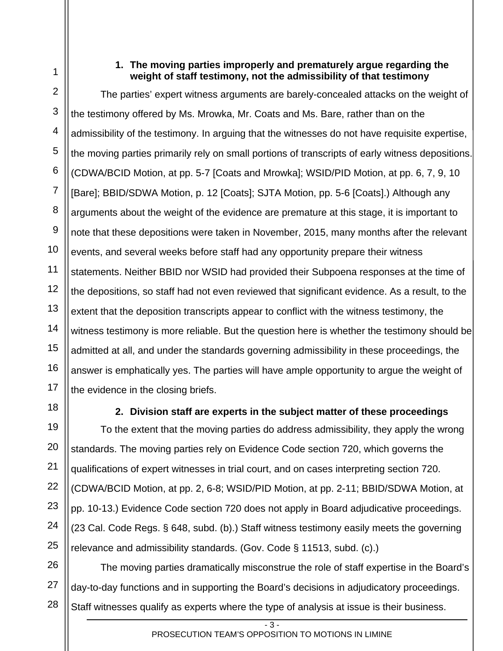1

7

## **1. The moving parties improperly and prematurely argue regarding the weight of staff testimony, not the admissibility of that testimony**

2 3 4 5 6 8 9 10 11 12 13 14 15 16 17 The parties' expert witness arguments are barely-concealed attacks on the weight of the testimony offered by Ms. Mrowka, Mr. Coats and Ms. Bare, rather than on the admissibility of the testimony. In arguing that the witnesses do not have requisite expertise, the moving parties primarily rely on small portions of transcripts of early witness depositions. (CDWA/BCID Motion, at pp. 5-7 [Coats and Mrowka]; WSID/PID Motion, at pp. 6, 7, 9, 10 [Bare]; BBID/SDWA Motion, p. 12 [Coats]; SJTA Motion, pp. 5-6 [Coats].) Although any arguments about the weight of the evidence are premature at this stage, it is important to note that these depositions were taken in November, 2015, many months after the relevant events, and several weeks before staff had any opportunity prepare their witness statements. Neither BBID nor WSID had provided their Subpoena responses at the time of the depositions, so staff had not even reviewed that significant evidence. As a result, to the extent that the deposition transcripts appear to conflict with the witness testimony, the witness testimony is more reliable. But the question here is whether the testimony should be admitted at all, and under the standards governing admissibility in these proceedings, the answer is emphatically yes. The parties will have ample opportunity to argue the weight of the evidence in the closing briefs.

18

19

20

21

22

23

24

25

# **2. Division staff are experts in the subject matter of these proceedings**

To the extent that the moving parties do address admissibility, they apply the wrong standards. The moving parties rely on Evidence Code section 720, which governs the qualifications of expert witnesses in trial court, and on cases interpreting section 720. (CDWA/BCID Motion, at pp. 2, 6-8; WSID/PID Motion, at pp. 2-11; BBID/SDWA Motion, at pp. 10-13.) Evidence Code section 720 does not apply in Board adjudicative proceedings. (23 Cal. Code Regs. § 648, subd. (b).) Staff witness testimony easily meets the governing relevance and admissibility standards. (Gov. Code § 11513, subd. (c).)

26 27 28 The moving parties dramatically misconstrue the role of staff expertise in the Board's day-to-day functions and in supporting the Board's decisions in adjudicatory proceedings. Staff witnesses qualify as experts where the type of analysis at issue is their business.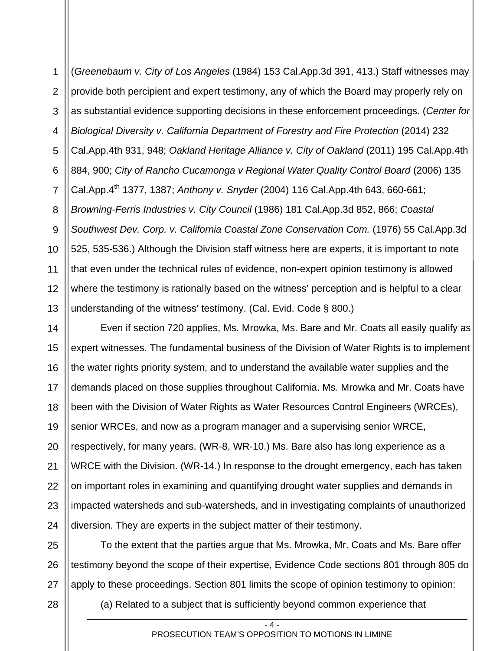1 2 3 4 5 6 7 8 9 10 11 12 13 (*Greenebaum v. City of Los Angeles* (1984) 153 Cal.App.3d 391, 413.) Staff witnesses may provide both percipient and expert testimony, any of which the Board may properly rely on as substantial evidence supporting decisions in these enforcement proceedings. (*Center for Biological Diversity v. California Department of Forestry and Fire Protection* (2014) 232 Cal.App.4th 931, 948; *Oakland Heritage Alliance v. City of Oakland* (2011) 195 Cal.App.4th 884, 900; *City of Rancho Cucamonga v Regional Water Quality Control Board* (2006) 135 Cal.App.4th 1377, 1387; *Anthony v. Snyder* (2004) 116 Cal.App.4th 643, 660-661; *Browning-Ferris Industries v. City Council* (1986) 181 Cal.App.3d 852, 866; *Coastal Southwest Dev. Corp. v. California Coastal Zone Conservation Com.* (1976) 55 Cal.App.3d 525, 535-536.) Although the Division staff witness here are experts, it is important to note that even under the technical rules of evidence, non-expert opinion testimony is allowed where the testimony is rationally based on the witness' perception and is helpful to a clear understanding of the witness' testimony. (Cal. Evid. Code § 800.)

14 15 16 17 18 19 20 21 22 23 24 Even if section 720 applies, Ms. Mrowka, Ms. Bare and Mr. Coats all easily qualify as expert witnesses. The fundamental business of the Division of Water Rights is to implement the water rights priority system, and to understand the available water supplies and the demands placed on those supplies throughout California. Ms. Mrowka and Mr. Coats have been with the Division of Water Rights as Water Resources Control Engineers (WRCEs), senior WRCEs, and now as a program manager and a supervising senior WRCE, respectively, for many years. (WR-8, WR-10.) Ms. Bare also has long experience as a WRCE with the Division. (WR-14.) In response to the drought emergency, each has taken on important roles in examining and quantifying drought water supplies and demands in impacted watersheds and sub-watersheds, and in investigating complaints of unauthorized diversion. They are experts in the subject matter of their testimony.

25 26 27 To the extent that the parties argue that Ms. Mrowka, Mr. Coats and Ms. Bare offer testimony beyond the scope of their expertise, Evidence Code sections 801 through 805 do apply to these proceedings. Section 801 limits the scope of opinion testimony to opinion:

(a) Related to a subject that is sufficiently beyond common experience that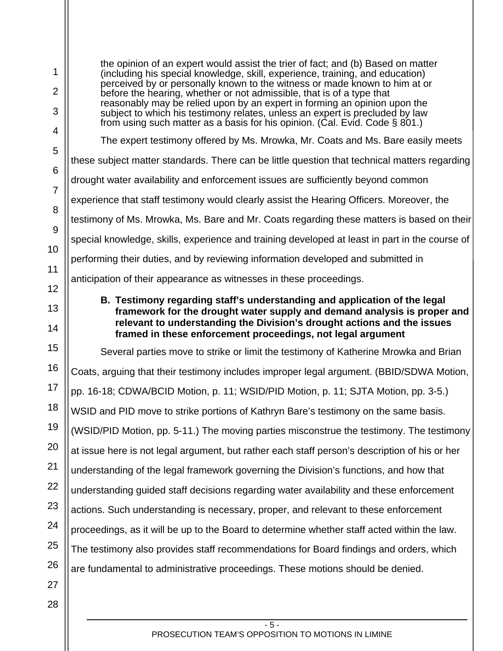1 2 3 4 5 6 7 8 9 10 11 12 13 14 15 16 17 18 19 20 21 22 23 24 25 26 27 28 the opinion of an expert would assist the trier of fact; and (b) Based on matter (including his special knowledge, skill, experience, training, and education) perceived by or personally known to the witness or made known to him at or before the hearing, whether or not admissible, that is of a type that reasonably may be relied upon by an expert in forming an opinion upon the subject to which his testimony relates, unless an expert is precluded by law from using such matter as a basis for his opinion. (Cal. Evid. Code  $\S$  801.) The expert testimony offered by Ms. Mrowka, Mr. Coats and Ms. Bare easily meets these subject matter standards. There can be little question that technical matters regarding drought water availability and enforcement issues are sufficiently beyond common experience that staff testimony would clearly assist the Hearing Officers. Moreover, the testimony of Ms. Mrowka, Ms. Bare and Mr. Coats regarding these matters is based on their special knowledge, skills, experience and training developed at least in part in the course of performing their duties, and by reviewing information developed and submitted in anticipation of their appearance as witnesses in these proceedings. **B. Testimony regarding staff's understanding and application of the legal framework for the drought water supply and demand analysis is proper and relevant to understanding the Division's drought actions and the issues framed in these enforcement proceedings, not legal argument**  Several parties move to strike or limit the testimony of Katherine Mrowka and Brian Coats, arguing that their testimony includes improper legal argument. (BBID/SDWA Motion, pp. 16-18; CDWA/BCID Motion, p. 11; WSID/PID Motion, p. 11; SJTA Motion, pp. 3-5.) WSID and PID move to strike portions of Kathryn Bare's testimony on the same basis. (WSID/PID Motion, pp. 5-11.) The moving parties misconstrue the testimony. The testimony at issue here is not legal argument, but rather each staff person's description of his or her understanding of the legal framework governing the Division's functions, and how that understanding guided staff decisions regarding water availability and these enforcement actions. Such understanding is necessary, proper, and relevant to these enforcement proceedings, as it will be up to the Board to determine whether staff acted within the law. The testimony also provides staff recommendations for Board findings and orders, which are fundamental to administrative proceedings. These motions should be denied.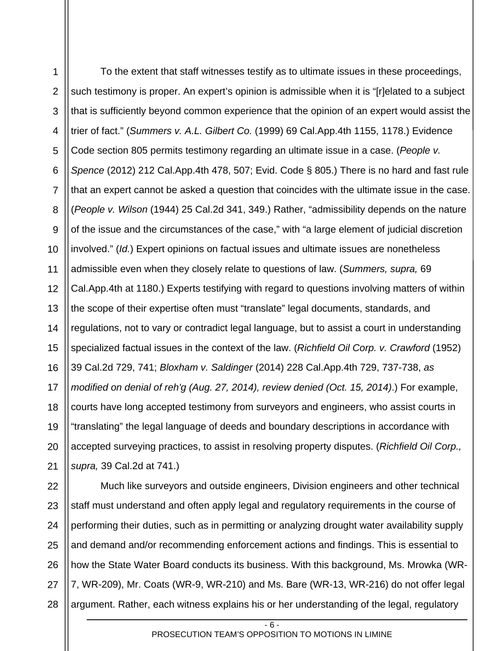1 2 3 4 5 6 7 8 9 10 11 12 13 14 15 16 17 18 19 20 21 To the extent that staff witnesses testify as to ultimate issues in these proceedings, such testimony is proper. An expert's opinion is admissible when it is "[r]elated to a subject that is sufficiently beyond common experience that the opinion of an expert would assist the trier of fact." (*Summers v. A.L. Gilbert Co.* (1999) 69 Cal.App.4th 1155, 1178.) Evidence Code section 805 permits testimony regarding an ultimate issue in a case. (*People v. Spence* (2012) 212 Cal.App.4th 478, 507; Evid. Code § 805.) There is no hard and fast rule that an expert cannot be asked a question that coincides with the ultimate issue in the case. (*People v. Wilson* (1944) 25 Cal.2d 341, 349.) Rather, "admissibility depends on the nature of the issue and the circumstances of the case," with "a large element of judicial discretion involved." (*Id.*) Expert opinions on factual issues and ultimate issues are nonetheless admissible even when they closely relate to questions of law. (*Summers, supra,* 69 Cal.App.4th at 1180.) Experts testifying with regard to questions involving matters of within the scope of their expertise often must "translate" legal documents, standards, and regulations, not to vary or contradict legal language, but to assist a court in understanding specialized factual issues in the context of the law. (*Richfield Oil Corp. v. Crawford* (1952) 39 Cal.2d 729, 741; *Bloxham v. Saldinger* (2014) 228 Cal.App.4th 729, 737-738, *as modified on denial of reh'g (Aug. 27, 2014), review denied (Oct. 15, 2014)*.) For example, courts have long accepted testimony from surveyors and engineers, who assist courts in "translating" the legal language of deeds and boundary descriptions in accordance with accepted surveying practices, to assist in resolving property disputes. (*Richfield Oil Corp., supra,* 39 Cal.2d at 741.)

22 23 24 25 26 27 28 Much like surveyors and outside engineers, Division engineers and other technical staff must understand and often apply legal and regulatory requirements in the course of performing their duties, such as in permitting or analyzing drought water availability supply and demand and/or recommending enforcement actions and findings. This is essential to how the State Water Board conducts its business. With this background, Ms. Mrowka (WR-7, WR-209), Mr. Coats (WR-9, WR-210) and Ms. Bare (WR-13, WR-216) do not offer legal argument. Rather, each witness explains his or her understanding of the legal, regulatory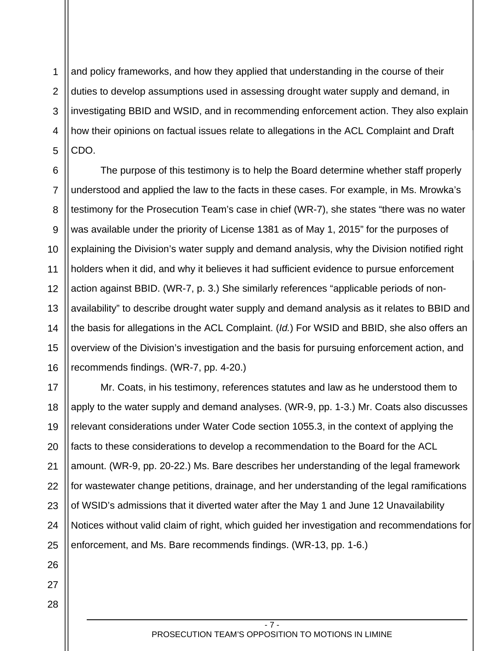1 2 3 4 5 and policy frameworks, and how they applied that understanding in the course of their duties to develop assumptions used in assessing drought water supply and demand, in investigating BBID and WSID, and in recommending enforcement action. They also explain how their opinions on factual issues relate to allegations in the ACL Complaint and Draft CDO.

6 7 8 9 10 11 12 13 14 15 16 The purpose of this testimony is to help the Board determine whether staff properly understood and applied the law to the facts in these cases. For example, in Ms. Mrowka's testimony for the Prosecution Team's case in chief (WR-7), she states "there was no water was available under the priority of License 1381 as of May 1, 2015" for the purposes of explaining the Division's water supply and demand analysis, why the Division notified right holders when it did, and why it believes it had sufficient evidence to pursue enforcement action against BBID. (WR-7, p. 3.) She similarly references "applicable periods of nonavailability" to describe drought water supply and demand analysis as it relates to BBID and the basis for allegations in the ACL Complaint. (*Id.*) For WSID and BBID, she also offers an overview of the Division's investigation and the basis for pursuing enforcement action, and recommends findings. (WR-7, pp. 4-20.)

17 18 19 20 21 22 23 24 25 Mr. Coats, in his testimony, references statutes and law as he understood them to apply to the water supply and demand analyses. (WR-9, pp. 1-3.) Mr. Coats also discusses relevant considerations under Water Code section 1055.3, in the context of applying the facts to these considerations to develop a recommendation to the Board for the ACL amount. (WR-9, pp. 20-22.) Ms. Bare describes her understanding of the legal framework for wastewater change petitions, drainage, and her understanding of the legal ramifications of WSID's admissions that it diverted water after the May 1 and June 12 Unavailability Notices without valid claim of right, which guided her investigation and recommendations for enforcement, and Ms. Bare recommends findings. (WR-13, pp. 1-6.)

26 27 28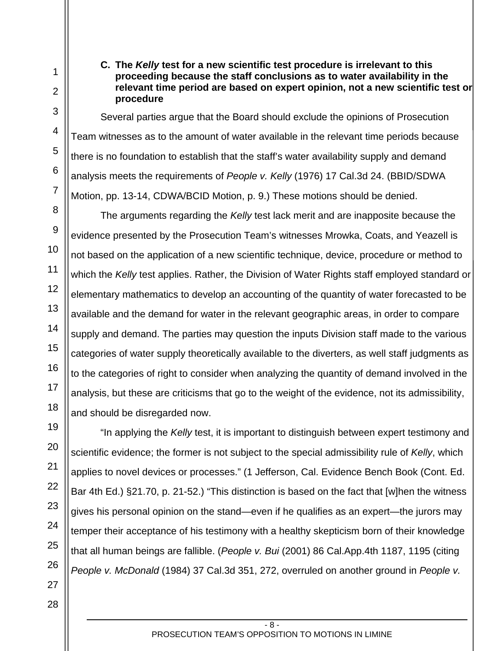## **C. The** *Kelly* **test for a new scientific test procedure is irrelevant to this proceeding because the staff conclusions as to water availability in the relevant time period are based on expert opinion, not a new scientific test or procedure**

Several parties argue that the Board should exclude the opinions of Prosecution Team witnesses as to the amount of water available in the relevant time periods because there is no foundation to establish that the staff's water availability supply and demand analysis meets the requirements of *People v. Kelly* (1976) 17 Cal.3d 24. (BBID/SDWA Motion, pp. 13-14, CDWA/BCID Motion, p. 9.) These motions should be denied.

The arguments regarding the *Kelly* test lack merit and are inapposite because the evidence presented by the Prosecution Team's witnesses Mrowka, Coats, and Yeazell is not based on the application of a new scientific technique, device, procedure or method to which the *Kelly* test applies. Rather, the Division of Water Rights staff employed standard or elementary mathematics to develop an accounting of the quantity of water forecasted to be available and the demand for water in the relevant geographic areas, in order to compare supply and demand. The parties may question the inputs Division staff made to the various categories of water supply theoretically available to the diverters, as well staff judgments as to the categories of right to consider when analyzing the quantity of demand involved in the analysis, but these are criticisms that go to the weight of the evidence, not its admissibility, and should be disregarded now.

"In applying the *Kelly* test, it is important to distinguish between expert testimony and scientific evidence; the former is not subject to the special admissibility rule of *Kelly*, which applies to novel devices or processes." (1 Jefferson, Cal. Evidence Bench Book (Cont. Ed. Bar 4th Ed.) §21.70, p. 21-52.) "This distinction is based on the fact that [w]hen the witness gives his personal opinion on the stand—even if he qualifies as an expert—the jurors may temper their acceptance of his testimony with a healthy skepticism born of their knowledge that all human beings are fallible. (*People v. Bui* (2001) 86 Cal.App.4th 1187, 1195 (citing *People v. McDonald* (1984) 37 Cal.3d 351, 272, overruled on another ground in *People v.*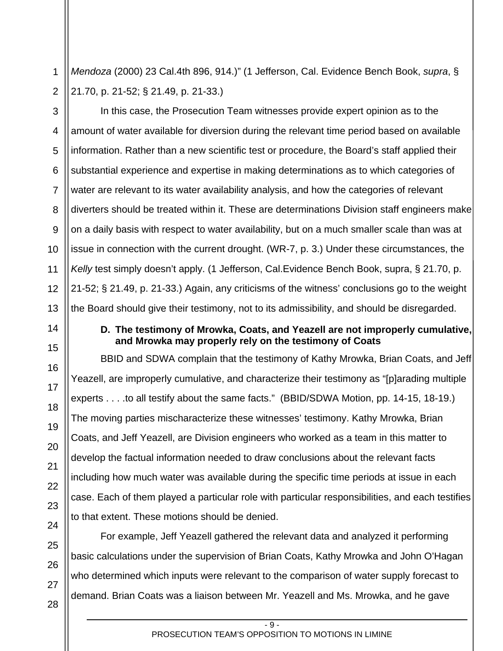1 2 *Mendoza* (2000) 23 Cal.4th 896, 914.)" (1 Jefferson, Cal. Evidence Bench Book, *supra*, § 21.70, p. 21-52; § 21.49, p. 21-33.)

3

4

5

6

7

8

9

11

14

15

16

17

18

19

20

21

22

23

24

10 12 13 In this case, the Prosecution Team witnesses provide expert opinion as to the amount of water available for diversion during the relevant time period based on available information. Rather than a new scientific test or procedure, the Board's staff applied their substantial experience and expertise in making determinations as to which categories of water are relevant to its water availability analysis, and how the categories of relevant diverters should be treated within it. These are determinations Division staff engineers make on a daily basis with respect to water availability, but on a much smaller scale than was at issue in connection with the current drought. (WR-7, p. 3.) Under these circumstances, the *Kelly* test simply doesn't apply. (1 Jefferson, Cal.Evidence Bench Book, supra, § 21.70, p. 21-52; § 21.49, p. 21-33.) Again, any criticisms of the witness' conclusions go to the weight the Board should give their testimony, not to its admissibility, and should be disregarded.

# **D. The testimony of Mrowka, Coats, and Yeazell are not improperly cumulative, and Mrowka may properly rely on the testimony of Coats**

BBID and SDWA complain that the testimony of Kathy Mrowka, Brian Coats, and Jeff Yeazell, are improperly cumulative, and characterize their testimony as "[p]arading multiple experts . . . .to all testify about the same facts." (BBID/SDWA Motion, pp. 14-15, 18-19.) The moving parties mischaracterize these witnesses' testimony. Kathy Mrowka, Brian Coats, and Jeff Yeazell, are Division engineers who worked as a team in this matter to develop the factual information needed to draw conclusions about the relevant facts including how much water was available during the specific time periods at issue in each case. Each of them played a particular role with particular responsibilities, and each testifies to that extent. These motions should be denied.

For example, Jeff Yeazell gathered the relevant data and analyzed it performing basic calculations under the supervision of Brian Coats, Kathy Mrowka and John O'Hagan who determined which inputs were relevant to the comparison of water supply forecast to demand. Brian Coats was a liaison between Mr. Yeazell and Ms. Mrowka, and he gave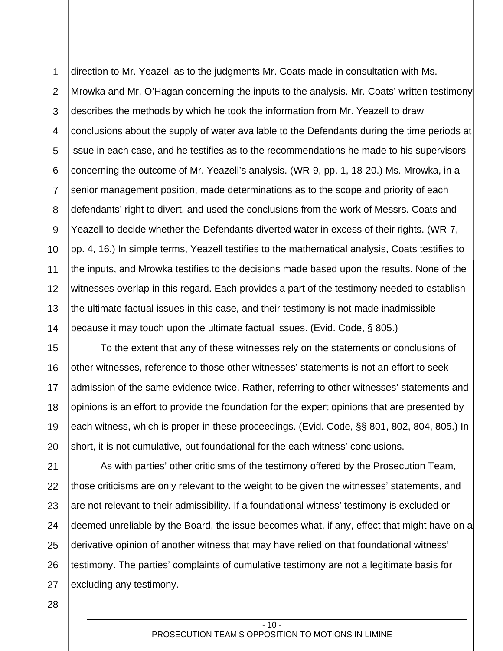1 2 3 4 5 6 7 8 9 10 11 12 13 14 direction to Mr. Yeazell as to the judgments Mr. Coats made in consultation with Ms. Mrowka and Mr. O'Hagan concerning the inputs to the analysis. Mr. Coats' written testimony describes the methods by which he took the information from Mr. Yeazell to draw conclusions about the supply of water available to the Defendants during the time periods at issue in each case, and he testifies as to the recommendations he made to his supervisors concerning the outcome of Mr. Yeazell's analysis. (WR-9, pp. 1, 18-20.) Ms. Mrowka, in a senior management position, made determinations as to the scope and priority of each defendants' right to divert, and used the conclusions from the work of Messrs. Coats and Yeazell to decide whether the Defendants diverted water in excess of their rights. (WR-7, pp. 4, 16.) In simple terms, Yeazell testifies to the mathematical analysis, Coats testifies to the inputs, and Mrowka testifies to the decisions made based upon the results. None of the witnesses overlap in this regard. Each provides a part of the testimony needed to establish the ultimate factual issues in this case, and their testimony is not made inadmissible because it may touch upon the ultimate factual issues. (Evid. Code, § 805.)

15 16 17 18 19 20 To the extent that any of these witnesses rely on the statements or conclusions of other witnesses, reference to those other witnesses' statements is not an effort to seek admission of the same evidence twice. Rather, referring to other witnesses' statements and opinions is an effort to provide the foundation for the expert opinions that are presented by each witness, which is proper in these proceedings. (Evid. Code, §§ 801, 802, 804, 805.) In short, it is not cumulative, but foundational for the each witness' conclusions.

21 22 23 24 25 26 27 As with parties' other criticisms of the testimony offered by the Prosecution Team, those criticisms are only relevant to the weight to be given the witnesses' statements, and are not relevant to their admissibility. If a foundational witness' testimony is excluded or deemed unreliable by the Board, the issue becomes what, if any, effect that might have on a derivative opinion of another witness that may have relied on that foundational witness' testimony. The parties' complaints of cumulative testimony are not a legitimate basis for excluding any testimony.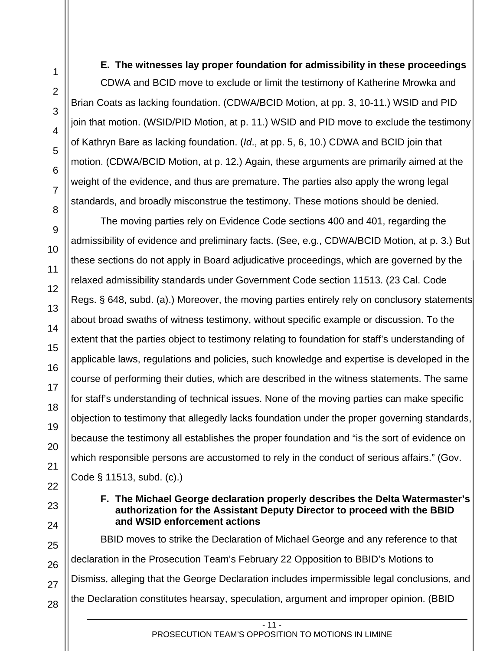28

**E. The witnesses lay proper foundation for admissibility in these proceedings** 

CDWA and BCID move to exclude or limit the testimony of Katherine Mrowka and Brian Coats as lacking foundation. (CDWA/BCID Motion, at pp. 3, 10-11.) WSID and PID join that motion. (WSID/PID Motion, at p. 11.) WSID and PID move to exclude the testimony of Kathryn Bare as lacking foundation. (*Id*., at pp. 5, 6, 10.) CDWA and BCID join that motion. (CDWA/BCID Motion, at p. 12.) Again, these arguments are primarily aimed at the weight of the evidence, and thus are premature. The parties also apply the wrong legal standards, and broadly misconstrue the testimony. These motions should be denied.

The moving parties rely on Evidence Code sections 400 and 401, regarding the admissibility of evidence and preliminary facts. (See, e.g., CDWA/BCID Motion, at p. 3.) But these sections do not apply in Board adjudicative proceedings, which are governed by the relaxed admissibility standards under Government Code section 11513. (23 Cal. Code Regs. § 648, subd. (a).) Moreover, the moving parties entirely rely on conclusory statements about broad swaths of witness testimony, without specific example or discussion. To the extent that the parties object to testimony relating to foundation for staff's understanding of applicable laws, regulations and policies, such knowledge and expertise is developed in the course of performing their duties, which are described in the witness statements. The same for staff's understanding of technical issues. None of the moving parties can make specific objection to testimony that allegedly lacks foundation under the proper governing standards, because the testimony all establishes the proper foundation and "is the sort of evidence on which responsible persons are accustomed to rely in the conduct of serious affairs." (Gov. Code § 11513, subd. (c).)

## **F. The Michael George declaration properly describes the Delta Watermaster's authorization for the Assistant Deputy Director to proceed with the BBID and WSID enforcement actions**

BBID moves to strike the Declaration of Michael George and any reference to that declaration in the Prosecution Team's February 22 Opposition to BBID's Motions to Dismiss, alleging that the George Declaration includes impermissible legal conclusions, and the Declaration constitutes hearsay, speculation, argument and improper opinion. (BBID

 $-11.$ 

PROSECUTION TEAM'S OPPOSITION TO MOTIONS IN LIMINE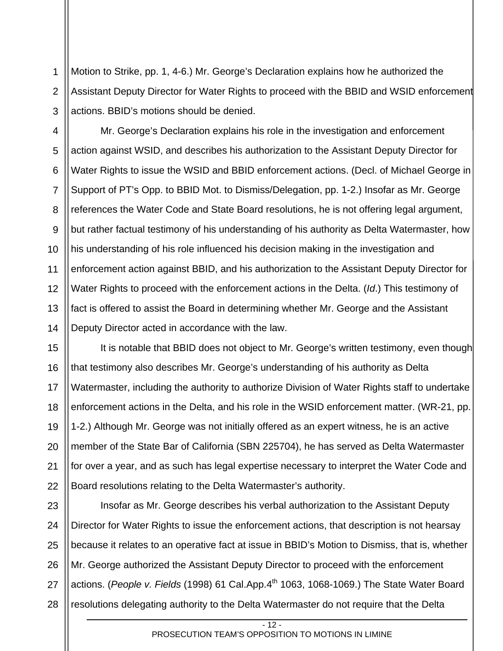1 2 3 Motion to Strike, pp. 1, 4-6.) Mr. George's Declaration explains how he authorized the Assistant Deputy Director for Water Rights to proceed with the BBID and WSID enforcement actions. BBID's motions should be denied.

4 5 6 7 8 9 10 11 12 13 14 Mr. George's Declaration explains his role in the investigation and enforcement action against WSID, and describes his authorization to the Assistant Deputy Director for Water Rights to issue the WSID and BBID enforcement actions. (Decl. of Michael George in Support of PT's Opp. to BBID Mot. to Dismiss/Delegation, pp. 1-2.) Insofar as Mr. George references the Water Code and State Board resolutions, he is not offering legal argument, but rather factual testimony of his understanding of his authority as Delta Watermaster, how his understanding of his role influenced his decision making in the investigation and enforcement action against BBID, and his authorization to the Assistant Deputy Director for Water Rights to proceed with the enforcement actions in the Delta. (*Id*.) This testimony of fact is offered to assist the Board in determining whether Mr. George and the Assistant Deputy Director acted in accordance with the law.

15 16 17 18 19 20 21 22 It is notable that BBID does not object to Mr. George's written testimony, even though that testimony also describes Mr. George's understanding of his authority as Delta Watermaster, including the authority to authorize Division of Water Rights staff to undertake enforcement actions in the Delta, and his role in the WSID enforcement matter. (WR-21, pp. 1-2.) Although Mr. George was not initially offered as an expert witness, he is an active member of the State Bar of California (SBN 225704), he has served as Delta Watermaster for over a year, and as such has legal expertise necessary to interpret the Water Code and Board resolutions relating to the Delta Watermaster's authority.

23 24 25 26 27 28 Insofar as Mr. George describes his verbal authorization to the Assistant Deputy Director for Water Rights to issue the enforcement actions, that description is not hearsay because it relates to an operative fact at issue in BBID's Motion to Dismiss, that is, whether Mr. George authorized the Assistant Deputy Director to proceed with the enforcement actions. (People v. Fields (1998) 61 Cal.App.4<sup>th</sup> 1063, 1068-1069.) The State Water Board resolutions delegating authority to the Delta Watermaster do not require that the Delta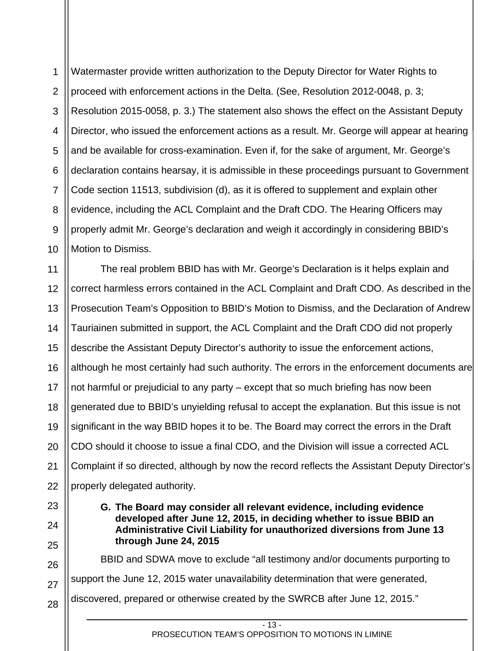1 2 3 4 5 6 7 8 9 10 Watermaster provide written authorization to the Deputy Director for Water Rights to proceed with enforcement actions in the Delta. (See, Resolution 2012-0048, p. 3; Resolution 2015-0058, p. 3.) The statement also shows the effect on the Assistant Deputy Director, who issued the enforcement actions as a result. Mr. George will appear at hearing and be available for cross-examination. Even if, for the sake of argument, Mr. George's declaration contains hearsay, it is admissible in these proceedings pursuant to Government Code section 11513, subdivision (d), as it is offered to supplement and explain other evidence, including the ACL Complaint and the Draft CDO. The Hearing Officers may properly admit Mr. George's declaration and weigh it accordingly in considering BBID's Motion to Dismiss.

11 12 13 14 15 16 17 18 19 20 21 22 The real problem BBID has with Mr. George's Declaration is it helps explain and correct harmless errors contained in the ACL Complaint and Draft CDO. As described in the Prosecution Team's Opposition to BBID's Motion to Dismiss, and the Declaration of Andrew Tauriainen submitted in support, the ACL Complaint and the Draft CDO did not properly describe the Assistant Deputy Director's authority to issue the enforcement actions, although he most certainly had such authority. The errors in the enforcement documents are not harmful or prejudicial to any party – except that so much briefing has now been generated due to BBID's unyielding refusal to accept the explanation. But this issue is not significant in the way BBID hopes it to be. The Board may correct the errors in the Draft CDO should it choose to issue a final CDO, and the Division will issue a corrected ACL Complaint if so directed, although by now the record reflects the Assistant Deputy Director's properly delegated authority.

## **G. The Board may consider all relevant evidence, including evidence developed after June 12, 2015, in deciding whether to issue BBID an Administrative Civil Liability for unauthorized diversions from June 13 through June 24, 2015**

26 27 28 BBID and SDWA move to exclude "all testimony and/or documents purporting to support the June 12, 2015 water unavailability determination that were generated, discovered, prepared or otherwise created by the SWRCB after June 12, 2015."

23

24

25

 $-13 -$ 

PROSECUTION TEAM'S OPPOSITION TO MOTIONS IN LIMINE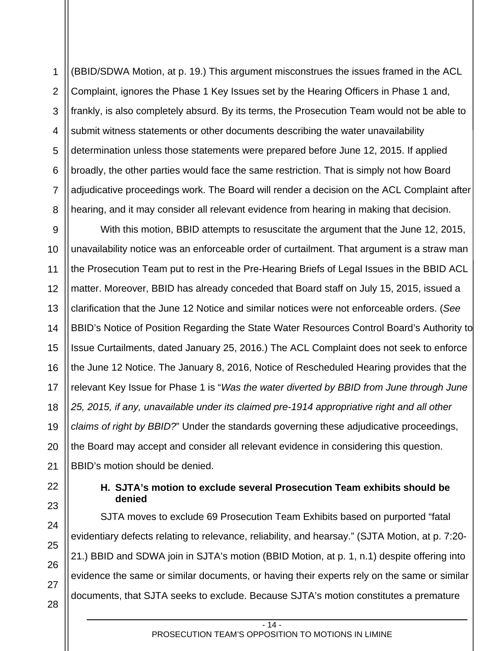1 2 3 4 5 6 7 8 (BBID/SDWA Motion, at p. 19.) This argument misconstrues the issues framed in the ACL Complaint, ignores the Phase 1 Key Issues set by the Hearing Officers in Phase 1 and, frankly, is also completely absurd. By its terms, the Prosecution Team would not be able to submit witness statements or other documents describing the water unavailability determination unless those statements were prepared before June 12, 2015. If applied broadly, the other parties would face the same restriction. That is simply not how Board adjudicative proceedings work. The Board will render a decision on the ACL Complaint after hearing, and it may consider all relevant evidence from hearing in making that decision.

9 10 With this motion, BBID attempts to resuscitate the argument that the June 12, 2015, unavailability notice was an enforceable order of curtailment. That argument is a straw man the Prosecution Team put to rest in the Pre-Hearing Briefs of Legal Issues in the BBID ACL matter. Moreover, BBID has already conceded that Board staff on July 15, 2015, issued a clarification that the June 12 Notice and similar notices were not enforceable orders. (*See* BBID's Notice of Position Regarding the State Water Resources Control Board's Authority to Issue Curtailments, dated January 25, 2016.) The ACL Complaint does not seek to enforce the June 12 Notice. The January 8, 2016, Notice of Rescheduled Hearing provides that the relevant Key Issue for Phase 1 is "*Was the water diverted by BBID from June through June 25, 2015, if any, unavailable under its claimed pre-1914 appropriative right and all other claims of right by BBID?*" Under the standards governing these adjudicative proceedings, the Board may accept and consider all relevant evidence in considering this question. BBID's motion should be denied.

# **H. SJTA's motion to exclude several Prosecution Team exhibits should be denied**

SJTA moves to exclude 69 Prosecution Team Exhibits based on purported "fatal evidentiary defects relating to relevance, reliability, and hearsay." (SJTA Motion, at p. 7:20- 21.) BBID and SDWA join in SJTA's motion (BBID Motion, at p. 1, n.1) despite offering into evidence the same or similar documents, or having their experts rely on the same or similar documents, that SJTA seeks to exclude. Because SJTA's motion constitutes a premature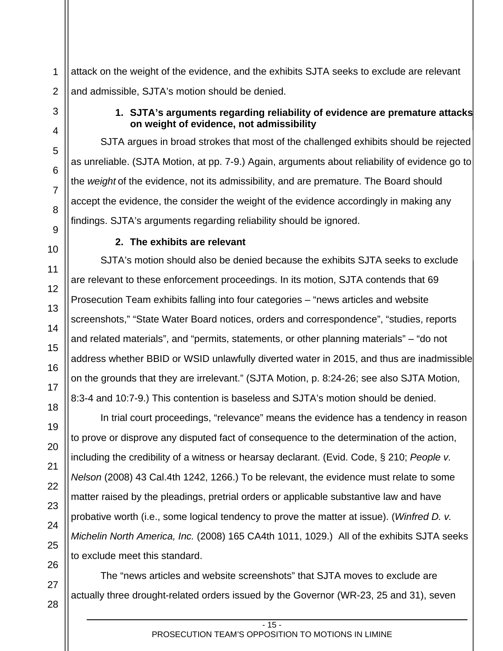1 attack on the weight of the evidence, and the exhibits SJTA seeks to exclude are relevant and admissible, SJTA's motion should be denied.

# **1. SJTA's arguments regarding reliability of evidence are premature attacks on weight of evidence, not admissibility**

SJTA argues in broad strokes that most of the challenged exhibits should be rejected as unreliable. (SJTA Motion, at pp. 7-9.) Again, arguments about reliability of evidence go to the *weight* of the evidence, not its admissibility, and are premature. The Board should accept the evidence, the consider the weight of the evidence accordingly in making any findings. SJTA's arguments regarding reliability should be ignored.

# **2. The exhibits are relevant**

SJTA's motion should also be denied because the exhibits SJTA seeks to exclude are relevant to these enforcement proceedings. In its motion, SJTA contends that 69 Prosecution Team exhibits falling into four categories – "news articles and website screenshots," "State Water Board notices, orders and correspondence", "studies, reports and related materials", and "permits, statements, or other planning materials" – "do not address whether BBID or WSID unlawfully diverted water in 2015, and thus are inadmissible on the grounds that they are irrelevant." (SJTA Motion, p. 8:24-26; see also SJTA Motion, 8:3-4 and 10:7-9.) This contention is baseless and SJTA's motion should be denied.

In trial court proceedings, "relevance" means the evidence has a tendency in reason to prove or disprove any disputed fact of consequence to the determination of the action, including the credibility of a witness or hearsay declarant. (Evid. Code, § 210; *People v. Nelson* (2008) 43 Cal.4th 1242, 1266.) To be relevant, the evidence must relate to some matter raised by the pleadings, pretrial orders or applicable substantive law and have probative worth (i.e., some logical tendency to prove the matter at issue). (*Winfred D. v. Michelin North America, Inc.* (2008) 165 CA4th 1011, 1029.) All of the exhibits SJTA seeks to exclude meet this standard.

The "news articles and website screenshots" that SJTA moves to exclude are actually three drought-related orders issued by the Governor (WR-23, 25 and 31), seven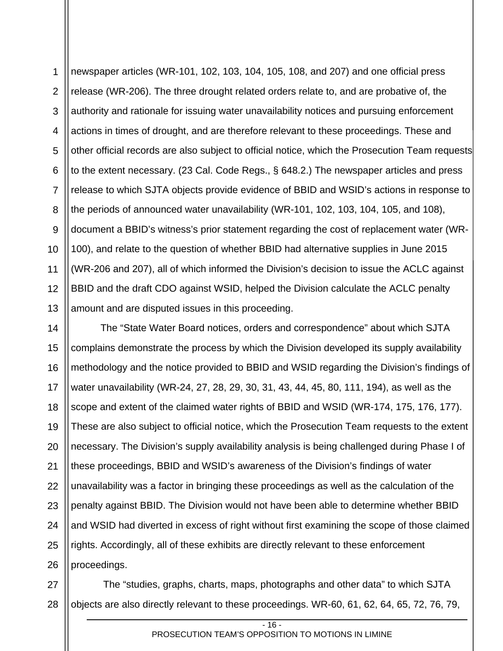1 2 3 4 5 6 7 8 9 10 11 12 13 newspaper articles (WR-101, 102, 103, 104, 105, 108, and 207) and one official press release (WR-206). The three drought related orders relate to, and are probative of, the authority and rationale for issuing water unavailability notices and pursuing enforcement actions in times of drought, and are therefore relevant to these proceedings. These and other official records are also subject to official notice, which the Prosecution Team requests to the extent necessary. (23 Cal. Code Regs., § 648.2.) The newspaper articles and press release to which SJTA objects provide evidence of BBID and WSID's actions in response to the periods of announced water unavailability (WR-101, 102, 103, 104, 105, and 108), document a BBID's witness's prior statement regarding the cost of replacement water (WR-100), and relate to the question of whether BBID had alternative supplies in June 2015 (WR-206 and 207), all of which informed the Division's decision to issue the ACLC against BBID and the draft CDO against WSID, helped the Division calculate the ACLC penalty amount and are disputed issues in this proceeding.

14 15 16 17 18 19 20 21 22 23 24 25 26 The "State Water Board notices, orders and correspondence" about which SJTA complains demonstrate the process by which the Division developed its supply availability methodology and the notice provided to BBID and WSID regarding the Division's findings of water unavailability (WR-24, 27, 28, 29, 30, 31, 43, 44, 45, 80, 111, 194), as well as the scope and extent of the claimed water rights of BBID and WSID (WR-174, 175, 176, 177). These are also subject to official notice, which the Prosecution Team requests to the extent necessary. The Division's supply availability analysis is being challenged during Phase I of these proceedings, BBID and WSID's awareness of the Division's findings of water unavailability was a factor in bringing these proceedings as well as the calculation of the penalty against BBID. The Division would not have been able to determine whether BBID and WSID had diverted in excess of right without first examining the scope of those claimed rights. Accordingly, all of these exhibits are directly relevant to these enforcement proceedings.

27 The "studies, graphs, charts, maps, photographs and other data" to which SJTA objects are also directly relevant to these proceedings. WR-60, 61, 62, 64, 65, 72, 76, 79,

 $-16$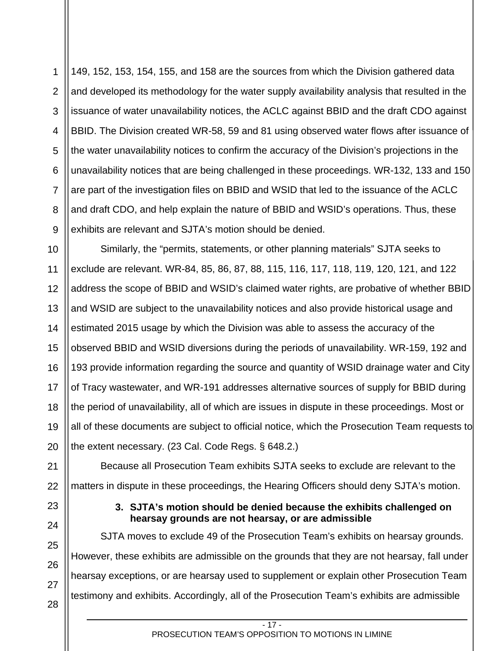1 2 3 4 5 6 7 8 9 149, 152, 153, 154, 155, and 158 are the sources from which the Division gathered data and developed its methodology for the water supply availability analysis that resulted in the issuance of water unavailability notices, the ACLC against BBID and the draft CDO against BBID. The Division created WR-58, 59 and 81 using observed water flows after issuance of the water unavailability notices to confirm the accuracy of the Division's projections in the unavailability notices that are being challenged in these proceedings. WR-132, 133 and 150 are part of the investigation files on BBID and WSID that led to the issuance of the ACLC and draft CDO, and help explain the nature of BBID and WSID's operations. Thus, these exhibits are relevant and SJTA's motion should be denied.

10 11 12 13 14 15 16 17 18 19 20 Similarly, the "permits, statements, or other planning materials" SJTA seeks to exclude are relevant. WR-84, 85, 86, 87, 88, 115, 116, 117, 118, 119, 120, 121, and 122 address the scope of BBID and WSID's claimed water rights, are probative of whether BBID and WSID are subject to the unavailability notices and also provide historical usage and estimated 2015 usage by which the Division was able to assess the accuracy of the observed BBID and WSID diversions during the periods of unavailability. WR-159, 192 and 193 provide information regarding the source and quantity of WSID drainage water and City of Tracy wastewater, and WR-191 addresses alternative sources of supply for BBID during the period of unavailability, all of which are issues in dispute in these proceedings. Most or all of these documents are subject to official notice, which the Prosecution Team requests to the extent necessary. (23 Cal. Code Regs. § 648.2.)

21 22 Because all Prosecution Team exhibits SJTA seeks to exclude are relevant to the matters in dispute in these proceedings, the Hearing Officers should deny SJTA's motion.

> **3. SJTA's motion should be denied because the exhibits challenged on hearsay grounds are not hearsay, or are admissible**

SJTA moves to exclude 49 of the Prosecution Team's exhibits on hearsay grounds. However, these exhibits are admissible on the grounds that they are not hearsay, fall under hearsay exceptions, or are hearsay used to supplement or explain other Prosecution Team testimony and exhibits. Accordingly, all of the Prosecution Team's exhibits are admissible

27 28

23

24

25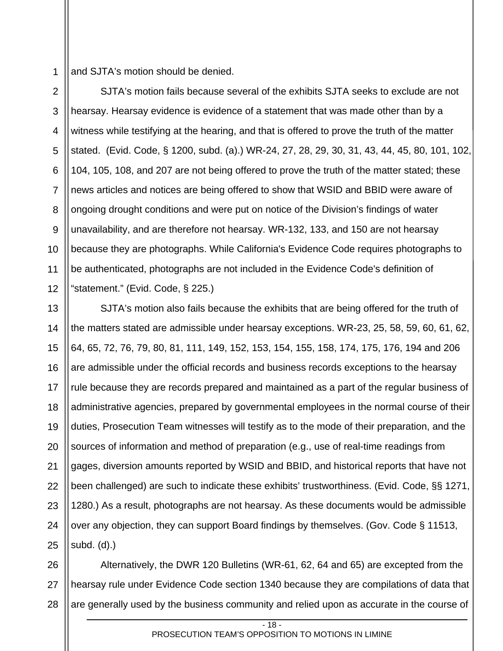1 and SJTA's motion should be denied.

2 3 4 5 6 7 8 9 10 11 12 SJTA's motion fails because several of the exhibits SJTA seeks to exclude are not hearsay. Hearsay evidence is evidence of a statement that was made other than by a witness while testifying at the hearing, and that is offered to prove the truth of the matter stated. (Evid. Code, § 1200, subd. (a).) WR-24, 27, 28, 29, 30, 31, 43, 44, 45, 80, 101, 102, 104, 105, 108, and 207 are not being offered to prove the truth of the matter stated; these news articles and notices are being offered to show that WSID and BBID were aware of ongoing drought conditions and were put on notice of the Division's findings of water unavailability, and are therefore not hearsay. WR-132, 133, and 150 are not hearsay because they are photographs. While California's Evidence Code requires photographs to be authenticated, photographs are not included in the Evidence Code's definition of "statement." (Evid. Code, § 225.)

13 14 15 16 17 18 19 20 21 22 23 24 25 SJTA's motion also fails because the exhibits that are being offered for the truth of the matters stated are admissible under hearsay exceptions. WR-23, 25, 58, 59, 60, 61, 62, 64, 65, 72, 76, 79, 80, 81, 111, 149, 152, 153, 154, 155, 158, 174, 175, 176, 194 and 206 are admissible under the official records and business records exceptions to the hearsay rule because they are records prepared and maintained as a part of the regular business of administrative agencies, prepared by governmental employees in the normal course of their duties, Prosecution Team witnesses will testify as to the mode of their preparation, and the sources of information and method of preparation (e.g., use of real-time readings from gages, diversion amounts reported by WSID and BBID, and historical reports that have not been challenged) are such to indicate these exhibits' trustworthiness. (Evid. Code, §§ 1271, 1280.) As a result, photographs are not hearsay. As these documents would be admissible over any objection, they can support Board findings by themselves. (Gov. Code § 11513, subd. (d).)

26 27 28 Alternatively, the DWR 120 Bulletins (WR-61, 62, 64 and 65) are excepted from the hearsay rule under Evidence Code section 1340 because they are compilations of data that are generally used by the business community and relied upon as accurate in the course of